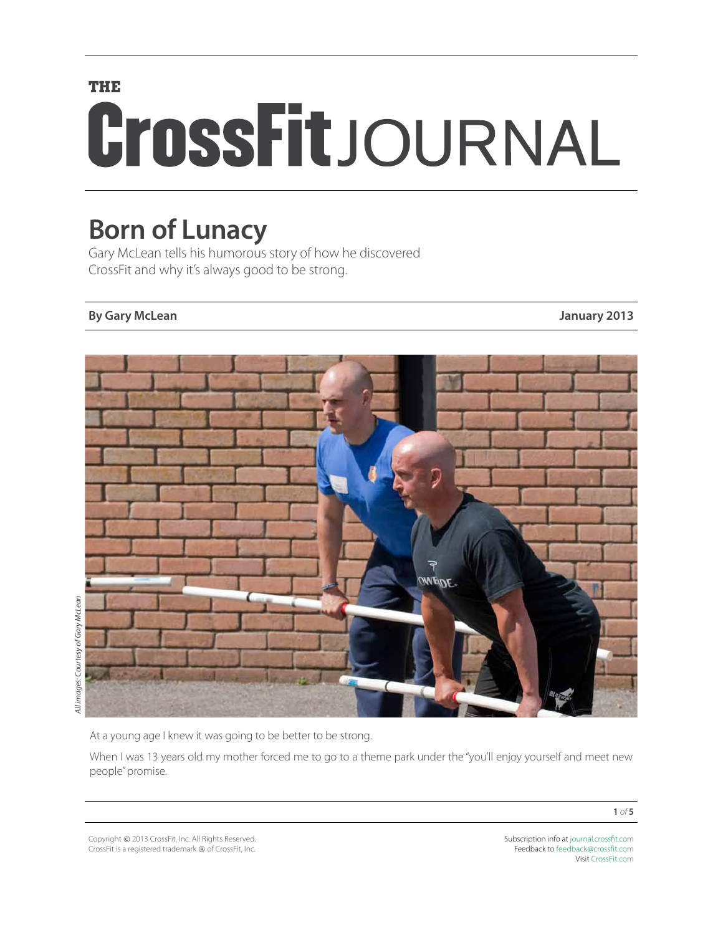# **THE** CrossFitJOURNAL

# **Born of Lunacy**

Gary McLean tells his humorous story of how he discovered CrossFit and why it's always good to be strong.

### **By Gary McLean January 2013**



At a young age I knew it was going to be better to be strong.

When I was 13 years old my mother forced me to go to a theme park under the "you'll enjoy yourself and meet new people" promise.

Copyright © 2013 CrossFit, Inc. All Rights Reserved. CrossFit is a registered trademark ® of CrossFit, Inc.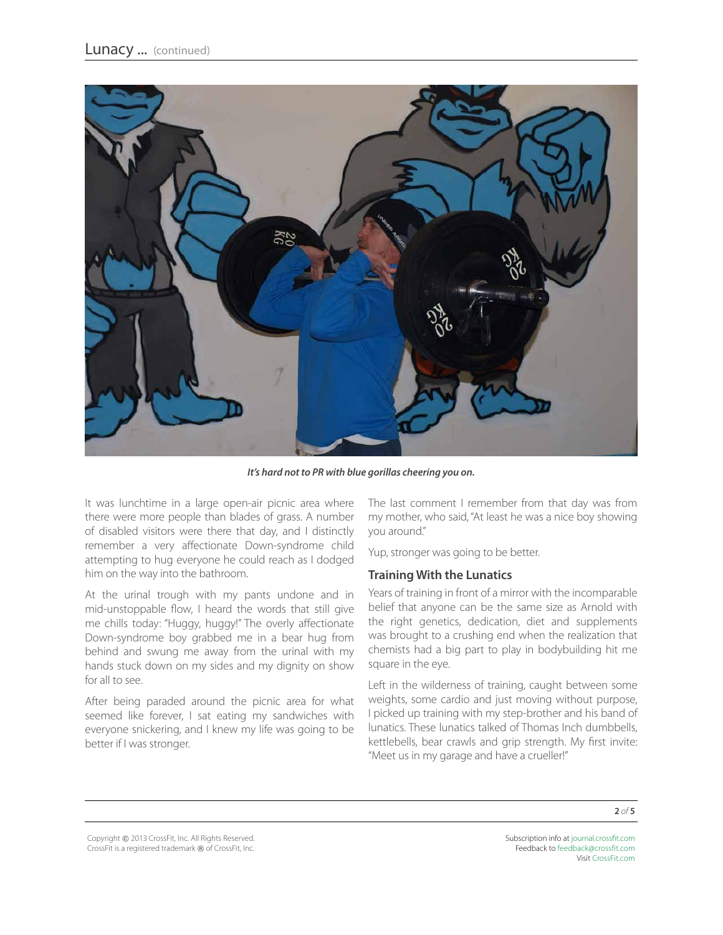

*It's hard not to PR with blue gorillas cheering you on.* 

It was lunchtime in a large open-air picnic area where there were more people than blades of grass. A number of disabled visitors were there that day, and I distinctly remember a very affectionate Down-syndrome child attempting to hug everyone he could reach as I dodged him on the way into the bathroom.

At the urinal trough with my pants undone and in mid-unstoppable flow, I heard the words that still give me chills today: "Huggy, huggy!" The overly affectionate Down-syndrome boy grabbed me in a bear hug from behind and swung me away from the urinal with my hands stuck down on my sides and my dignity on show for all to see.

After being paraded around the picnic area for what seemed like forever, I sat eating my sandwiches with everyone snickering, and I knew my life was going to be better if I was stronger.

The last comment I remember from that day was from my mother, who said, "At least he was a nice boy showing you around."

Yup, stronger was going to be better.

#### **Training With the Lunatics**

Years of training in front of a mirror with the incomparable belief that anyone can be the same size as Arnold with the right genetics, dedication, diet and supplements was brought to a crushing end when the realization that chemists had a big part to play in bodybuilding hit me square in the eye.

Left in the wilderness of training, caught between some weights, some cardio and just moving without purpose, I picked up training with my step-brother and his band of lunatics. These lunatics talked of Thomas Inch dumbbells, kettlebells, bear crawls and grip strength. My first invite: "Meet us in my garage and have a crueller!"

Copyright © 2013 CrossFit, Inc. All Rights Reserved. CrossFit is a registered trademark ® of CrossFit, Inc.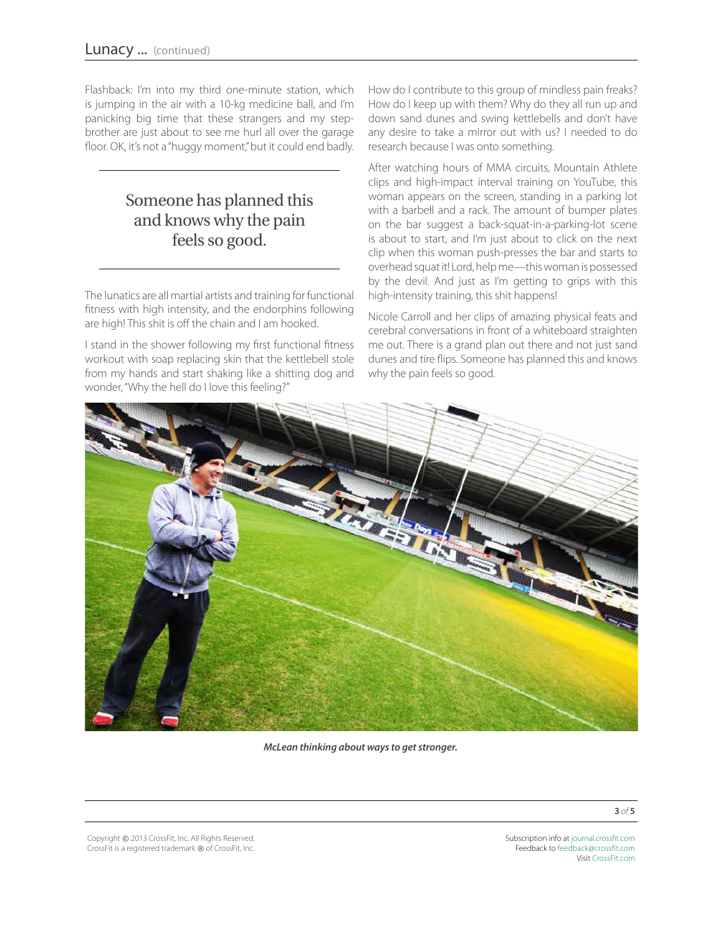Flashback: I'm into my third one-minute station, which is jumping in the air with a 10-kg medicine ball, and I'm panicking big time that these strangers and my stepbrother are just about to see me hurl all over the garage floor. OK, it's not a "huggy moment," but it could end badly.

# Someone has planned this and knows why the pain feels so good.

The lunatics are all martial artists and training for functional fitness with high intensity, and the endorphins following are high! This shit is off the chain and I am hooked.

I stand in the shower following my first functional fitness workout with soap replacing skin that the kettlebell stole from my hands and start shaking like a shitting dog and wonder, "Why the hell do I love this feeling?"

How do I contribute to this group of mindless pain freaks? How do I keep up with them? Why do they all run up and down sand dunes and swing kettlebells and don't have any desire to take a mirror out with us? I needed to do research because I was onto something.

After watching hours of MMA circuits, Mountain Athlete clips and high-impact interval training on YouTube, this woman appears on the screen, standing in a parking lot with a barbell and a rack. The amount of bumper plates on the bar suggest a back-squat-in-a-parking-lot scene is about to start, and I'm just about to click on the next clip when this woman push-presses the bar and starts to overhead squat it! Lord, help me—this woman is possessed by the devil. And just as I'm getting to grips with this high-intensity training, this shit happens!

Nicole Carroll and her clips of amazing physical feats and cerebral conversations in front of a whiteboard straighten me out. There is a grand plan out there and not just sand dunes and tire flips. Someone has planned this and knows why the pain feels so good.



*McLean thinking about ways to get stronger.*

Copyright © 2013 CrossFit, Inc. All Rights Reserved. CrossFit is a registered trademark ® of CrossFit, Inc.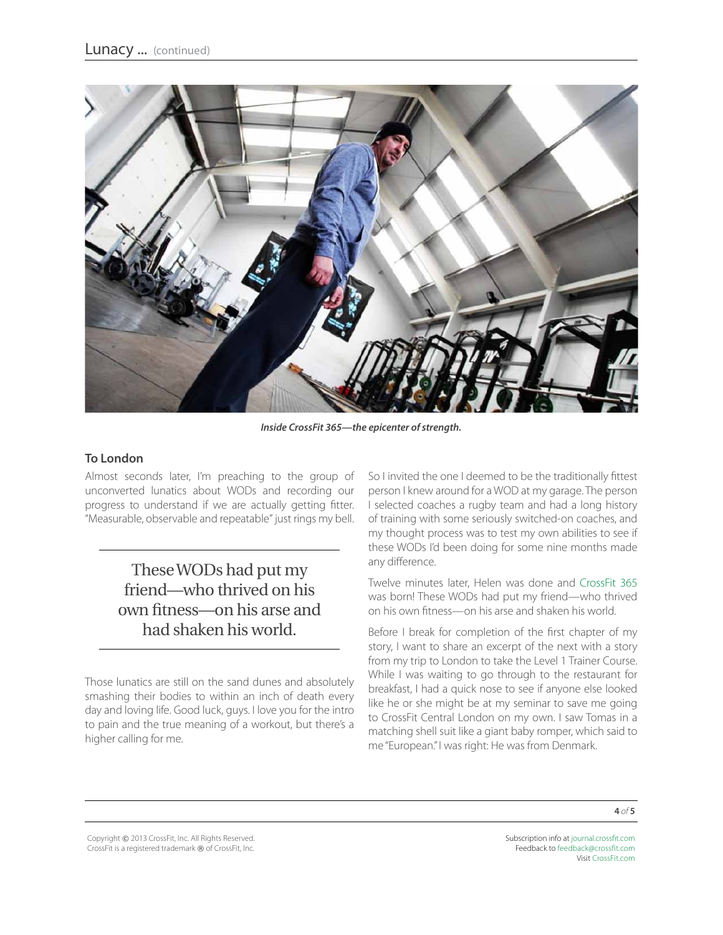

*Inside CrossFit 365—the epicenter of strength.* 

#### **To London**

Almost seconds later, I'm preaching to the group of unconverted lunatics about WODs and recording our progress to understand if we are actually getting fitter. "Measurable, observable and repeatable" just rings my bell.

## These WODs had put my friend—who thrived on his own fitness—on his arse and had shaken his world.

Those lunatics are still on the sand dunes and absolutely smashing their bodies to within an inch of death every day and loving life. Good luck, guys. I love you for the intro to pain and the true meaning of a workout, but there's a higher calling for me.

So I invited the one I deemed to be the traditionally fittest person I knew around for a WOD at my garage. The person I selected coaches a rugby team and had a long history of training with some seriously switched-on coaches, and my thought process was to test my own abilities to see if these WODs I'd been doing for some nine months made any difference.

Twelve minutes later, Helen was done and [CrossFit 365](http://crossfit365.co.uk/) was born! These WODs had put my friend—who thrived on his own fitness—on his arse and shaken his world.

Before I break for completion of the first chapter of my story, I want to share an excerpt of the next with a story from my trip to London to take the Level 1 Trainer Course. While I was waiting to go through to the restaurant for breakfast, I had a quick nose to see if anyone else looked like he or she might be at my seminar to save me going to CrossFit Central London on my own. I saw Tomas in a matching shell suit like a giant baby romper, which said to me "European." I was right: He was from Denmark.

Copyright © 2013 CrossFit, Inc. All Rights Reserved. CrossFit is a registered trademark ® of CrossFit, Inc.